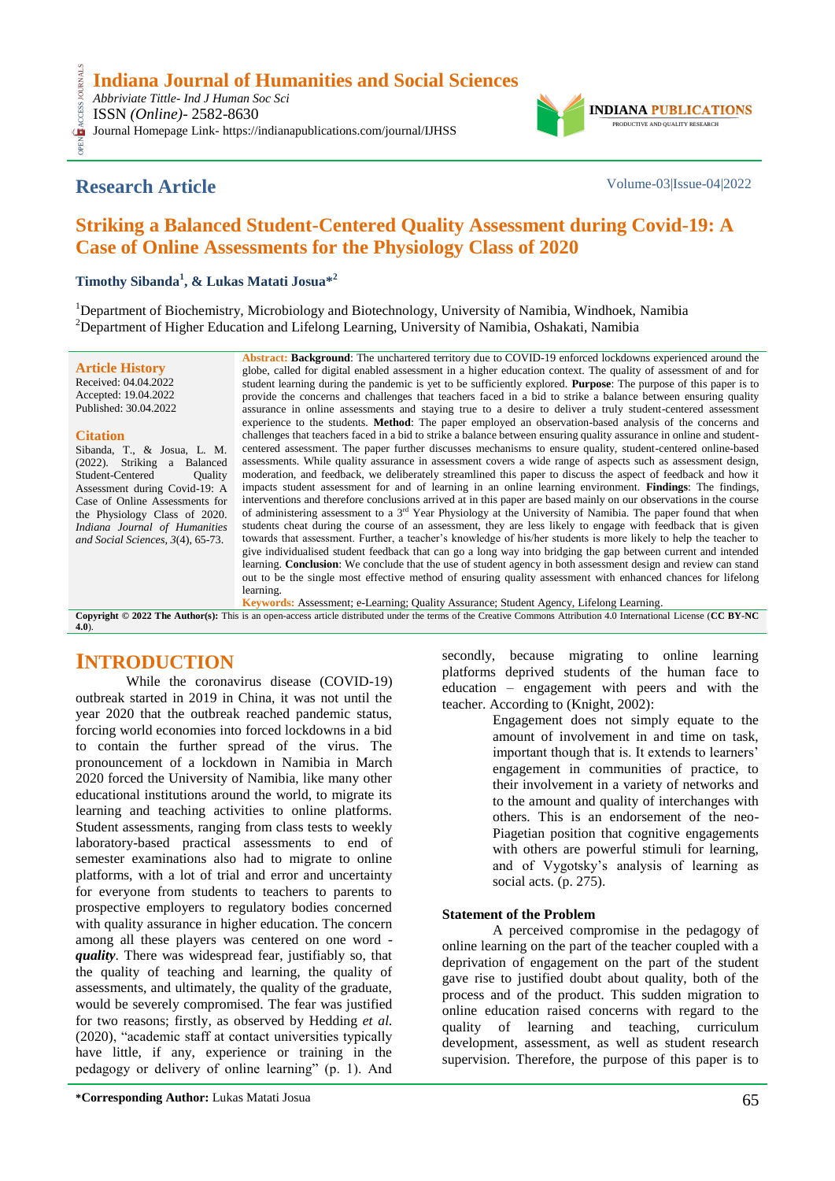OPEN ACCESS JOURNALS *Abbriviate Tittle- Ind J Human Soc Sci* CESS. ISSN *(Online)*- 2582-8630

Journal Homepage Link- https://indianapublications.com/journal/IJHSS



**INDIANA** PRODUCTIVE AND QUALITY RESEARCH

# **Striking a Balanced Student-Centered Quality Assessment during Covid-19: A Case of Online Assessments for the Physiology Class of 2020**

**Timothy Sibanda<sup>1</sup> , & Lukas Matati Josua\* 2**

<sup>1</sup>Department of Biochemistry, Microbiology and Biotechnology, University of Namibia, Windhoek, Namibia <sup>2</sup>Department of Higher Education and Lifelong Learning, University of Namibia, Oshakati, Namibia

**Article History** Received: 04.04.2022 Accepted: 19.04.2022 Published: 30.04.2022

#### **Citation**

Sibanda, T., & Josua, L. M. (2022). Striking a Balanced Student-Centered Quality Assessment during Covid-19: A Case of Online Assessments for the Physiology Class of 2020. *Indiana Journal of Humanities and Social Sciences, 3*(4), 65-73.

**Abstract: Background**: The unchartered territory due to COVID-19 enforced lockdowns experienced around the globe, called for digital enabled assessment in a higher education context. The quality of assessment of and for student learning during the pandemic is yet to be sufficiently explored. **Purpose**: The purpose of this paper is to provide the concerns and challenges that teachers faced in a bid to strike a balance between ensuring quality assurance in online assessments and staying true to a desire to deliver a truly student-centered assessment experience to the students. **Method**: The paper employed an observation-based analysis of the concerns and challenges that teachers faced in a bid to strike a balance between ensuring quality assurance in online and studentcentered assessment. The paper further discusses mechanisms to ensure quality, student-centered online-based assessments. While quality assurance in assessment covers a wide range of aspects such as assessment design, moderation, and feedback, we deliberately streamlined this paper to discuss the aspect of feedback and how it impacts student assessment for and of learning in an online learning environment. **Findings**: The findings, interventions and therefore conclusions arrived at in this paper are based mainly on our observations in the course of administering assessment to a 3rd Year Physiology at the University of Namibia. The paper found that when students cheat during the course of an assessment, they are less likely to engage with feedback that is given towards that assessment. Further, a teacher"s knowledge of his/her students is more likely to help the teacher to give individualised student feedback that can go a long way into bridging the gap between current and intended learning. **Conclusion**: We conclude that the use of student agency in both assessment design and review can stand out to be the single most effective method of ensuring quality assessment with enhanced chances for lifelong learning*.*

**Keywords:** Assessment; e-Learning; Quality Assurance; Student Agency, Lifelong Learning. **Copyright © 2022 The Author(s):** This is an open-access article distributed under the terms of the Creative Commons Attribution 4.0 International License (**[CC BY-NC](https://creativecommons.org/licenses/by-nc/4.0/)  [4.0](https://creativecommons.org/licenses/by-nc/4.0/)**).

# **INTRODUCTION**

While the coronavirus disease (COVID-19) outbreak started in 2019 in China, it was not until the year 2020 that the outbreak reached pandemic status, forcing world economies into forced lockdowns in a bid to contain the further spread of the virus. The pronouncement of a lockdown in Namibia in March 2020 forced the University of Namibia, like many other educational institutions around the world, to migrate its learning and teaching activities to online platforms. Student assessments, ranging from class tests to weekly laboratory-based practical assessments to end of semester examinations also had to migrate to online platforms, with a lot of trial and error and uncertainty for everyone from students to teachers to parents to prospective employers to regulatory bodies concerned with quality assurance in higher education. The concern among all these players was centered on one word *quality*. There was widespread fear, justifiably so, that the quality of teaching and learning, the quality of assessments, and ultimately, the quality of the graduate, would be severely compromised. The fear was justified for two reasons; firstly, as observed by Hedding *et al.* (2020), "academic staff at contact universities typically have little, if any, experience or training in the pedagogy or delivery of online learning" (p. 1). And

secondly, because migrating to online learning platforms deprived students of the human face to education – engagement with peers and with the teacher. According to (Knight, 2002):

Engagement does not simply equate to the amount of involvement in and time on task, important though that is. It extends to learners' engagement in communities of practice, to their involvement in a variety of networks and to the amount and quality of interchanges with others. This is an endorsement of the neo-Piagetian position that cognitive engagements with others are powerful stimuli for learning, and of Vygotsky"s analysis of learning as social acts. (p. 275).

#### **Statement of the Problem**

A perceived compromise in the pedagogy of online learning on the part of the teacher coupled with a deprivation of engagement on the part of the student gave rise to justified doubt about quality, both of the process and of the product. This sudden migration to online education raised concerns with regard to the quality of learning and teaching, curriculum development, assessment, as well as student research supervision. Therefore, the purpose of this paper is to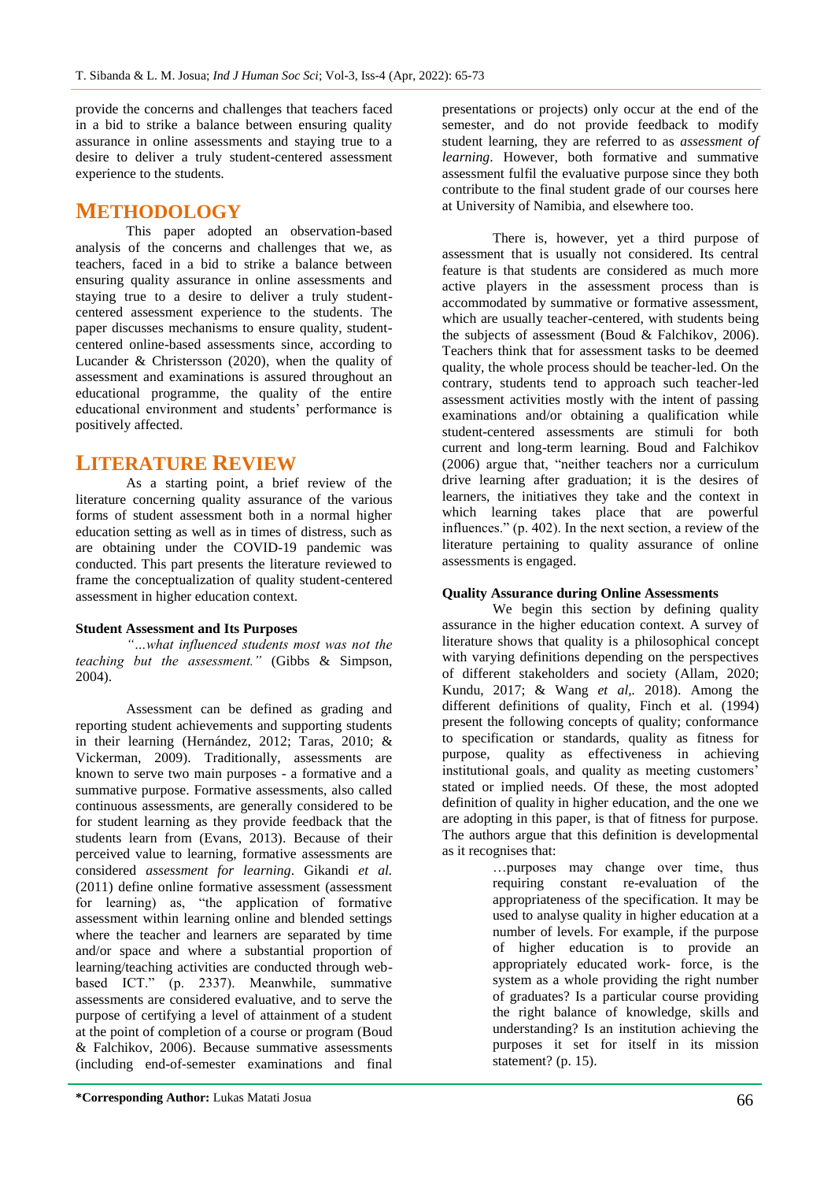provide the concerns and challenges that teachers faced in a bid to strike a balance between ensuring quality assurance in online assessments and staying true to a desire to deliver a truly student-centered assessment experience to the students.

# **METHODOLOGY**

This paper adopted an observation-based analysis of the concerns and challenges that we, as teachers, faced in a bid to strike a balance between ensuring quality assurance in online assessments and staying true to a desire to deliver a truly studentcentered assessment experience to the students. The paper discusses mechanisms to ensure quality, studentcentered online-based assessments since, according to Lucander & Christersson (2020), when the quality of assessment and examinations is assured throughout an educational programme, the quality of the entire educational environment and students' performance is positively affected.

# **LITERATURE REVIEW**

As a starting point, a brief review of the literature concerning quality assurance of the various forms of student assessment both in a normal higher education setting as well as in times of distress, such as are obtaining under the COVID-19 pandemic was conducted. This part presents the literature reviewed to frame the conceptualization of quality student-centered assessment in higher education context.

#### **Student Assessment and Its Purposes**

*"…what influenced students most was not the teaching but the assessment."* (Gibbs & Simpson, 2004).

Assessment can be defined as grading and reporting student achievements and supporting students in their learning (Hernández, 2012; Taras, 2010; & Vickerman, 2009). Traditionally, assessments are known to serve two main purposes - a formative and a summative purpose. Formative assessments, also called continuous assessments, are generally considered to be for student learning as they provide feedback that the students learn from (Evans, 2013). Because of their perceived value to learning, formative assessments are considered *assessment for learning*. Gikandi *et al.* (2011) define online formative assessment (assessment for learning) as, "the application of formative assessment within learning online and blended settings where the teacher and learners are separated by time and/or space and where a substantial proportion of learning/teaching activities are conducted through webbased ICT." (p. 2337). Meanwhile, summative assessments are considered evaluative, and to serve the purpose of certifying a level of attainment of a student at the point of completion of a course or program (Boud & Falchikov, 2006). Because summative assessments (including end-of-semester examinations and final

presentations or projects) only occur at the end of the semester, and do not provide feedback to modify student learning, they are referred to as *assessment of learning*. However, both formative and summative assessment fulfil the evaluative purpose since they both contribute to the final student grade of our courses here at University of Namibia, and elsewhere too.

There is, however, yet a third purpose of assessment that is usually not considered. Its central feature is that students are considered as much more active players in the assessment process than is accommodated by summative or formative assessment, which are usually teacher-centered, with students being the subjects of assessment (Boud & Falchikov, 2006). Teachers think that for assessment tasks to be deemed quality, the whole process should be teacher-led. On the contrary, students tend to approach such teacher-led assessment activities mostly with the intent of passing examinations and/or obtaining a qualification while student-centered assessments are stimuli for both current and long-term learning. Boud and Falchikov (2006) argue that, "neither teachers nor a curriculum drive learning after graduation; it is the desires of learners, the initiatives they take and the context in which learning takes place that are powerful influences." (p. 402). In the next section, a review of the literature pertaining to quality assurance of online assessments is engaged.

#### **Quality Assurance during Online Assessments**

We begin this section by defining quality assurance in the higher education context. A survey of literature shows that quality is a philosophical concept with varying definitions depending on the perspectives of different stakeholders and society (Allam, 2020; Kundu, 2017; & Wang *et al,.* 2018). Among the different definitions of quality, Finch et al. (1994) present the following concepts of quality; conformance to specification or standards, quality as fitness for purpose, quality as effectiveness in achieving institutional goals, and quality as meeting customers' stated or implied needs. Of these, the most adopted definition of quality in higher education, and the one we are adopting in this paper, is that of fitness for purpose. The authors argue that this definition is developmental as it recognises that:

…purposes may change over time, thus requiring constant re-evaluation of the appropriateness of the specification. It may be used to analyse quality in higher education at a number of levels. For example, if the purpose of higher education is to provide an appropriately educated work- force, is the system as a whole providing the right number of graduates? Is a particular course providing the right balance of knowledge, skills and understanding? Is an institution achieving the purposes it set for itself in its mission statement? (p. 15).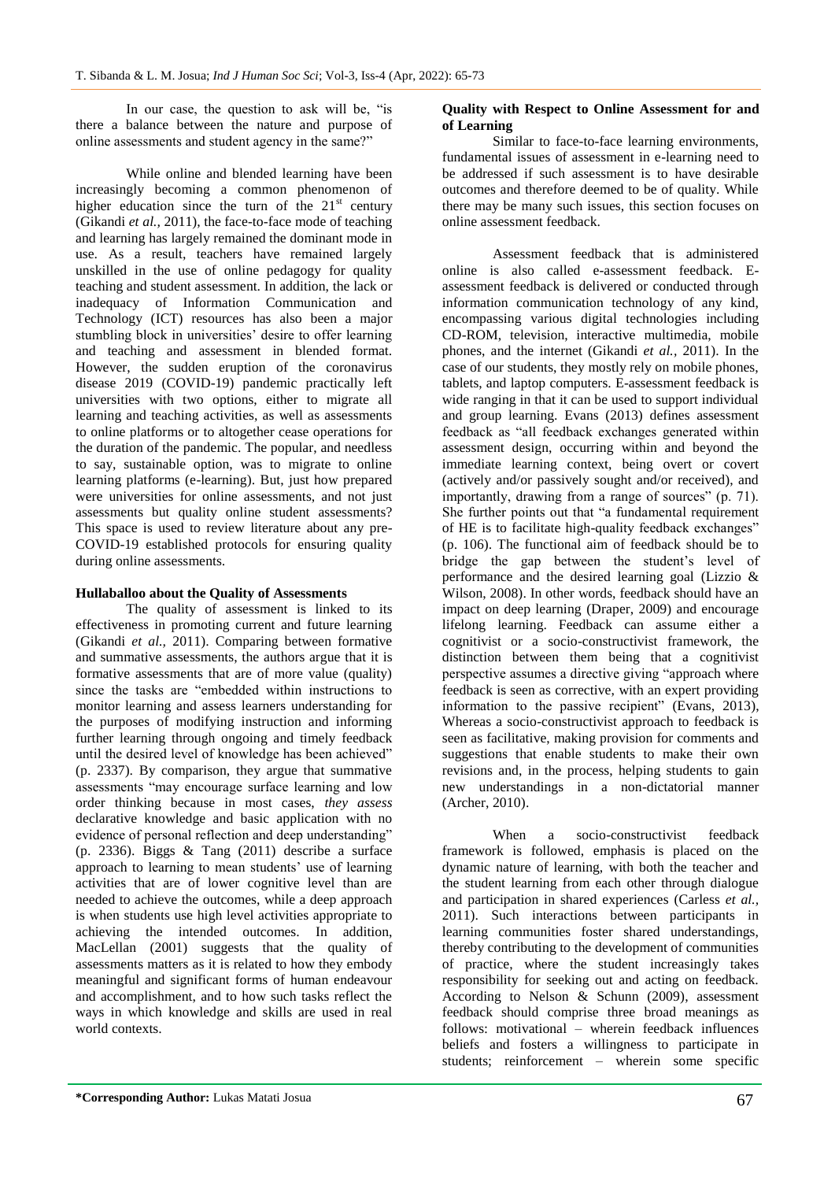In our case, the question to ask will be, "is there a balance between the nature and purpose of online assessments and student agency in the same?"

While online and blended learning have been increasingly becoming a common phenomenon of higher education since the turn of the  $21<sup>st</sup>$  century (Gikandi *et al.,* 2011), the face-to-face mode of teaching and learning has largely remained the dominant mode in use. As a result, teachers have remained largely unskilled in the use of online pedagogy for quality teaching and student assessment. In addition, the lack or inadequacy of Information Communication and Technology (ICT) resources has also been a major stumbling block in universities' desire to offer learning and teaching and assessment in blended format. However, the sudden eruption of the coronavirus disease 2019 (COVID-19) pandemic practically left universities with two options, either to migrate all learning and teaching activities, as well as assessments to online platforms or to altogether cease operations for the duration of the pandemic. The popular, and needless to say, sustainable option, was to migrate to online learning platforms (e-learning). But, just how prepared were universities for online assessments, and not just assessments but quality online student assessments? This space is used to review literature about any pre-COVID-19 established protocols for ensuring quality during online assessments.

#### **Hullaballoo about the Quality of Assessments**

The quality of assessment is linked to its effectiveness in promoting current and future learning (Gikandi *et al.,* 2011). Comparing between formative and summative assessments, the authors argue that it is formative assessments that are of more value (quality) since the tasks are "embedded within instructions to monitor learning and assess learners understanding for the purposes of modifying instruction and informing further learning through ongoing and timely feedback until the desired level of knowledge has been achieved" (p. 2337). By comparison, they argue that summative assessments "may encourage surface learning and low order thinking because in most cases, *they assess* declarative knowledge and basic application with no evidence of personal reflection and deep understanding" (p. 2336). Biggs & Tang (2011) describe a surface approach to learning to mean students' use of learning activities that are of lower cognitive level than are needed to achieve the outcomes, while a deep approach is when students use high level activities appropriate to achieving the intended outcomes. In addition, MacLellan (2001) suggests that the quality of assessments matters as it is related to how they embody meaningful and significant forms of human endeavour and accomplishment, and to how such tasks reflect the ways in which knowledge and skills are used in real world contexts.

#### **Quality with Respect to Online Assessment for and of Learning**

Similar to face-to-face learning environments, fundamental issues of assessment in e-learning need to be addressed if such assessment is to have desirable outcomes and therefore deemed to be of quality. While there may be many such issues, this section focuses on online assessment feedback.

Assessment feedback that is administered online is also called e-assessment feedback. Eassessment feedback is delivered or conducted through information communication technology of any kind, encompassing various digital technologies including CD-ROM, television, interactive multimedia, mobile phones, and the internet (Gikandi *et al.,* 2011). In the case of our students, they mostly rely on mobile phones, tablets, and laptop computers. E-assessment feedback is wide ranging in that it can be used to support individual and group learning. Evans (2013) defines assessment feedback as "all feedback exchanges generated within assessment design, occurring within and beyond the immediate learning context, being overt or covert (actively and/or passively sought and/or received), and importantly, drawing from a range of sources" (p. 71). She further points out that "a fundamental requirement of HE is to facilitate high-quality feedback exchanges" (p. 106). The functional aim of feedback should be to bridge the gap between the student's level of performance and the desired learning goal (Lizzio & Wilson, 2008). In other words, feedback should have an impact on deep learning (Draper, 2009) and encourage lifelong learning. Feedback can assume either a cognitivist or a socio-constructivist framework, the distinction between them being that a cognitivist perspective assumes a directive giving "approach where feedback is seen as corrective, with an expert providing information to the passive recipient" (Evans, 2013), Whereas a socio-constructivist approach to feedback is seen as facilitative, making provision for comments and suggestions that enable students to make their own revisions and, in the process, helping students to gain new understandings in a non-dictatorial manner (Archer, 2010).

When a socio-constructivist feedback framework is followed, emphasis is placed on the dynamic nature of learning, with both the teacher and the student learning from each other through dialogue and participation in shared experiences (Carless *et al.,*  2011). Such interactions between participants in learning communities foster shared understandings, thereby contributing to the development of communities of practice, where the student increasingly takes responsibility for seeking out and acting on feedback. According to Nelson & Schunn (2009), assessment feedback should comprise three broad meanings as follows: motivational – wherein feedback influences beliefs and fosters a willingness to participate in students; reinforcement – wherein some specific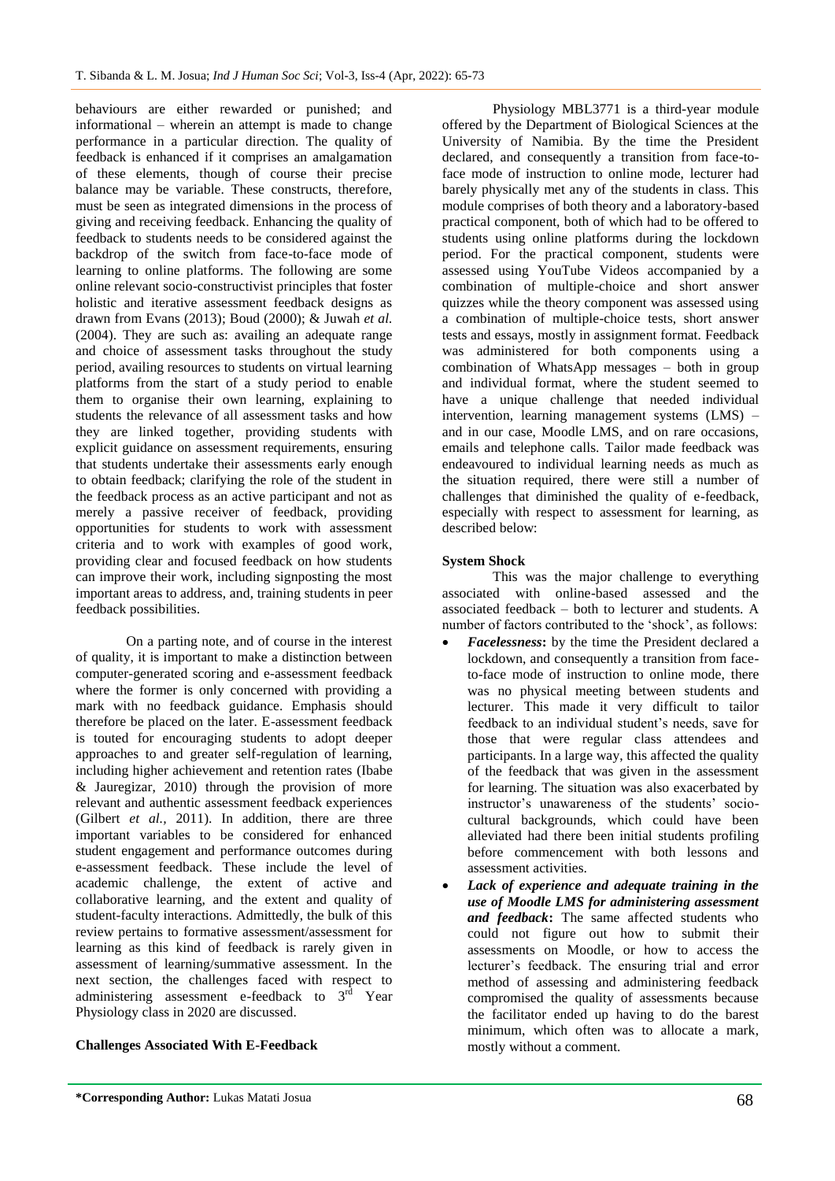behaviours are either rewarded or punished; and informational – wherein an attempt is made to change performance in a particular direction. The quality of feedback is enhanced if it comprises an amalgamation of these elements, though of course their precise balance may be variable. These constructs, therefore, must be seen as integrated dimensions in the process of giving and receiving feedback. Enhancing the quality of feedback to students needs to be considered against the backdrop of the switch from face-to-face mode of learning to online platforms. The following are some online relevant socio-constructivist principles that foster holistic and iterative assessment feedback designs as drawn from Evans (2013); Boud (2000); & Juwah *et al.* (2004). They are such as: availing an adequate range and choice of assessment tasks throughout the study period, availing resources to students on virtual learning platforms from the start of a study period to enable them to organise their own learning, explaining to students the relevance of all assessment tasks and how they are linked together, providing students with explicit guidance on assessment requirements, ensuring that students undertake their assessments early enough to obtain feedback; clarifying the role of the student in the feedback process as an active participant and not as merely a passive receiver of feedback, providing opportunities for students to work with assessment criteria and to work with examples of good work, providing clear and focused feedback on how students can improve their work, including signposting the most important areas to address, and, training students in peer feedback possibilities.

On a parting note, and of course in the interest of quality, it is important to make a distinction between computer-generated scoring and e-assessment feedback where the former is only concerned with providing a mark with no feedback guidance. Emphasis should therefore be placed on the later. E-assessment feedback is touted for encouraging students to adopt deeper approaches to and greater self-regulation of learning, including higher achievement and retention rates (Ibabe & Jauregizar, 2010) through the provision of more relevant and authentic assessment feedback experiences (Gilbert *et al.,* 2011). In addition, there are three important variables to be considered for enhanced student engagement and performance outcomes during e-assessment feedback. These include the level of academic challenge, the extent of active and collaborative learning, and the extent and quality of student-faculty interactions. Admittedly, the bulk of this review pertains to formative assessment/assessment for learning as this kind of feedback is rarely given in assessment of learning/summative assessment. In the next section, the challenges faced with respect to administering assessment e-feedback to  $3<sup>rd</sup>$  Year Physiology class in 2020 are discussed.

### **Challenges Associated With E-Feedback**

Physiology MBL3771 is a third-year module offered by the Department of Biological Sciences at the University of Namibia. By the time the President declared, and consequently a transition from face-toface mode of instruction to online mode, lecturer had barely physically met any of the students in class. This module comprises of both theory and a laboratory-based practical component, both of which had to be offered to students using online platforms during the lockdown period. For the practical component, students were assessed using YouTube Videos accompanied by a combination of multiple-choice and short answer quizzes while the theory component was assessed using a combination of multiple-choice tests, short answer tests and essays, mostly in assignment format. Feedback was administered for both components using a combination of WhatsApp messages – both in group and individual format, where the student seemed to have a unique challenge that needed individual intervention, learning management systems (LMS) – and in our case, Moodle LMS, and on rare occasions, emails and telephone calls. Tailor made feedback was endeavoured to individual learning needs as much as the situation required, there were still a number of challenges that diminished the quality of e-feedback, especially with respect to assessment for learning, as described below:

### **System Shock**

This was the major challenge to everything associated with online-based assessed and the associated feedback – both to lecturer and students. A number of factors contributed to the 'shock', as follows:

- *Facelessness***:** by the time the President declared a lockdown, and consequently a transition from faceto-face mode of instruction to online mode, there was no physical meeting between students and lecturer. This made it very difficult to tailor feedback to an individual student"s needs, save for those that were regular class attendees and participants. In a large way, this affected the quality of the feedback that was given in the assessment for learning. The situation was also exacerbated by instructor's unawareness of the students' sociocultural backgrounds, which could have been alleviated had there been initial students profiling before commencement with both lessons and assessment activities.
- *Lack of experience and adequate training in the use of Moodle LMS for administering assessment and feedback***:** The same affected students who could not figure out how to submit their assessments on Moodle, or how to access the lecturer"s feedback. The ensuring trial and error method of assessing and administering feedback compromised the quality of assessments because the facilitator ended up having to do the barest minimum, which often was to allocate a mark, mostly without a comment.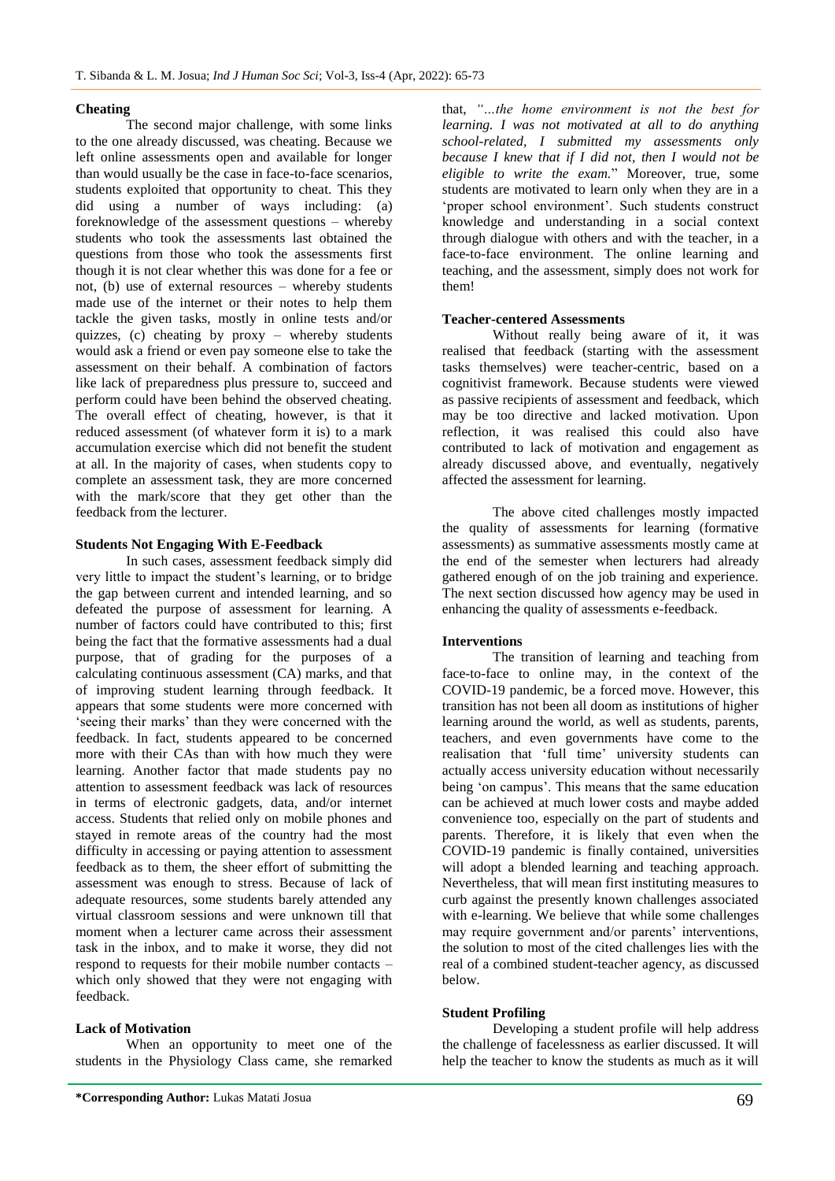#### **Cheating**

The second major challenge, with some links to the one already discussed, was cheating. Because we left online assessments open and available for longer than would usually be the case in face-to-face scenarios, students exploited that opportunity to cheat. This they did using a number of ways including: (a) foreknowledge of the assessment questions – whereby students who took the assessments last obtained the questions from those who took the assessments first though it is not clear whether this was done for a fee or not, (b) use of external resources – whereby students made use of the internet or their notes to help them tackle the given tasks, mostly in online tests and/or quizzes, (c) cheating by  $prox_y$  – whereby students would ask a friend or even pay someone else to take the assessment on their behalf. A combination of factors like lack of preparedness plus pressure to, succeed and perform could have been behind the observed cheating. The overall effect of cheating, however, is that it reduced assessment (of whatever form it is) to a mark accumulation exercise which did not benefit the student at all. In the majority of cases, when students copy to complete an assessment task, they are more concerned with the mark/score that they get other than the feedback from the lecturer.

#### **Students Not Engaging With E-Feedback**

In such cases, assessment feedback simply did very little to impact the student"s learning, or to bridge the gap between current and intended learning, and so defeated the purpose of assessment for learning. A number of factors could have contributed to this; first being the fact that the formative assessments had a dual purpose, that of grading for the purposes of a calculating continuous assessment (CA) marks, and that of improving student learning through feedback. It appears that some students were more concerned with 'seeing their marks' than they were concerned with the feedback. In fact, students appeared to be concerned more with their CAs than with how much they were learning. Another factor that made students pay no attention to assessment feedback was lack of resources in terms of electronic gadgets, data, and/or internet access. Students that relied only on mobile phones and stayed in remote areas of the country had the most difficulty in accessing or paying attention to assessment feedback as to them, the sheer effort of submitting the assessment was enough to stress. Because of lack of adequate resources, some students barely attended any virtual classroom sessions and were unknown till that moment when a lecturer came across their assessment task in the inbox, and to make it worse, they did not respond to requests for their mobile number contacts – which only showed that they were not engaging with feedback.

#### **Lack of Motivation**

When an opportunity to meet one of the students in the Physiology Class came, she remarked

that, *"…the home environment is not the best for learning. I was not motivated at all to do anything school-related, I submitted my assessments only because I knew that if I did not, then I would not be eligible to write the exam.*" Moreover, true, some students are motivated to learn only when they are in a 'proper school environment'. Such students construct knowledge and understanding in a social context through dialogue with others and with the teacher, in a face-to-face environment. The online learning and teaching, and the assessment, simply does not work for them!

#### **Teacher-centered Assessments**

Without really being aware of it, it was realised that feedback (starting with the assessment tasks themselves) were teacher-centric, based on a cognitivist framework. Because students were viewed as passive recipients of assessment and feedback, which may be too directive and lacked motivation. Upon reflection, it was realised this could also have contributed to lack of motivation and engagement as already discussed above, and eventually, negatively affected the assessment for learning.

The above cited challenges mostly impacted the quality of assessments for learning (formative assessments) as summative assessments mostly came at the end of the semester when lecturers had already gathered enough of on the job training and experience. The next section discussed how agency may be used in enhancing the quality of assessments e-feedback.

#### **Interventions**

The transition of learning and teaching from face-to-face to online may, in the context of the COVID-19 pandemic, be a forced move. However, this transition has not been all doom as institutions of higher learning around the world, as well as students, parents, teachers, and even governments have come to the realisation that 'full time' university students can actually access university education without necessarily being 'on campus'. This means that the same education can be achieved at much lower costs and maybe added convenience too, especially on the part of students and parents. Therefore, it is likely that even when the COVID-19 pandemic is finally contained, universities will adopt a blended learning and teaching approach. Nevertheless, that will mean first instituting measures to curb against the presently known challenges associated with e-learning. We believe that while some challenges may require government and/or parents' interventions, the solution to most of the cited challenges lies with the real of a combined student-teacher agency, as discussed below.

#### **Student Profiling**

Developing a student profile will help address the challenge of facelessness as earlier discussed. It will help the teacher to know the students as much as it will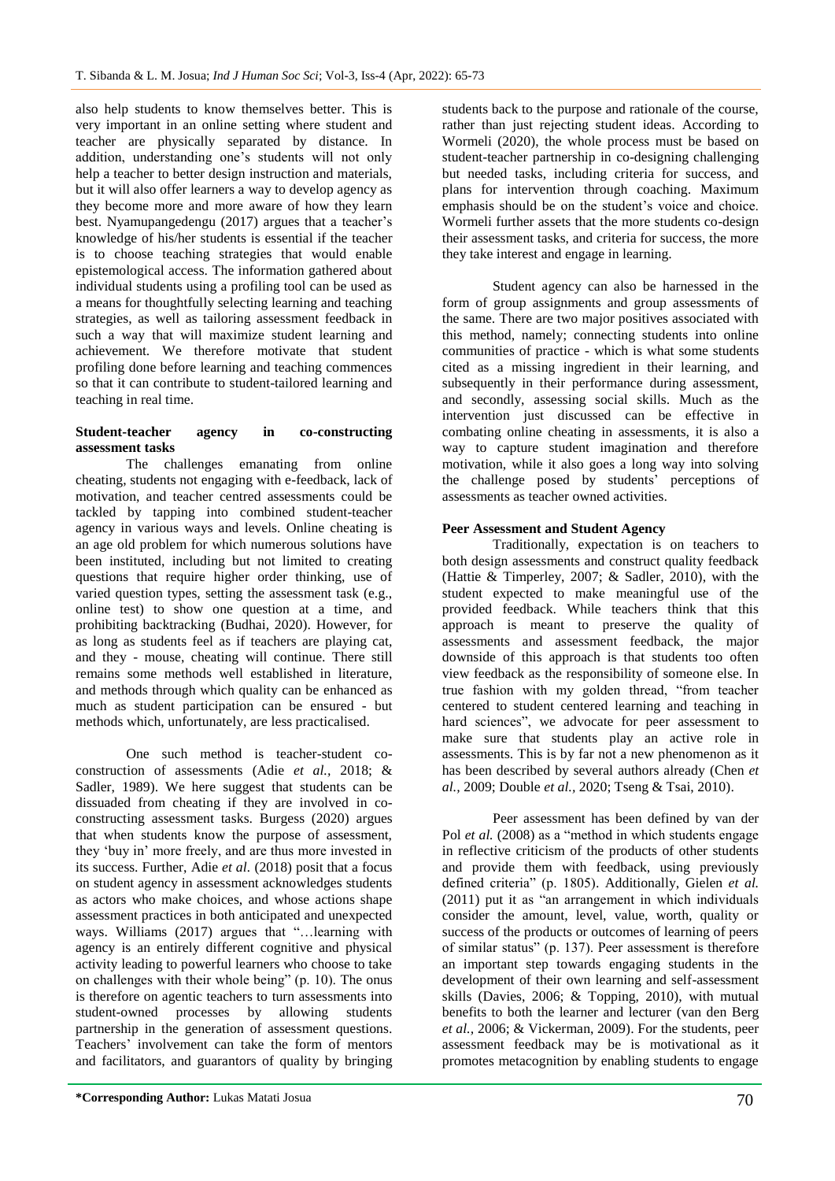also help students to know themselves better. This is very important in an online setting where student and teacher are physically separated by distance. In addition, understanding one's students will not only help a teacher to better design instruction and materials, but it will also offer learners a way to develop agency as they become more and more aware of how they learn best. Nyamupangedengu (2017) argues that a teacher's knowledge of his/her students is essential if the teacher is to choose teaching strategies that would enable epistemological access. The information gathered about individual students using a profiling tool can be used as a means for thoughtfully selecting learning and teaching strategies, as well as tailoring assessment feedback in such a way that will maximize student learning and achievement. We therefore motivate that student profiling done before learning and teaching commences so that it can contribute to student-tailored learning and teaching in real time.

#### **Student-teacher agency in co-constructing assessment tasks**

The challenges emanating from online cheating, students not engaging with e-feedback, lack of motivation, and teacher centred assessments could be tackled by tapping into combined student-teacher agency in various ways and levels. Online cheating is an age old problem for which numerous solutions have been instituted, including but not limited to creating questions that require higher order thinking, use of varied question types, setting the assessment task (e.g., online test) to show one question at a time, and prohibiting backtracking (Budhai, 2020). However, for as long as students feel as if teachers are playing cat, and they - mouse, cheating will continue. There still remains some methods well established in literature, and methods through which quality can be enhanced as much as student participation can be ensured - but methods which, unfortunately, are less practicalised.

One such method is teacher-student coconstruction of assessments (Adie *et al.,* 2018; & Sadler, 1989). We here suggest that students can be dissuaded from cheating if they are involved in coconstructing assessment tasks. Burgess (2020) argues that when students know the purpose of assessment, they "buy in" more freely, and are thus more invested in its success. Further, Adie *et al.* (2018) posit that a focus on student agency in assessment acknowledges students as actors who make choices, and whose actions shape assessment practices in both anticipated and unexpected ways. Williams (2017) argues that "…learning with agency is an entirely different cognitive and physical activity leading to powerful learners who choose to take on challenges with their whole being" (p. 10). The onus is therefore on agentic teachers to turn assessments into student-owned processes by allowing students partnership in the generation of assessment questions. Teachers' involvement can take the form of mentors and facilitators, and guarantors of quality by bringing

students back to the purpose and rationale of the course, rather than just rejecting student ideas. According to Wormeli (2020), the whole process must be based on student-teacher partnership in co-designing challenging but needed tasks, including criteria for success, and plans for intervention through coaching. Maximum emphasis should be on the student"s voice and choice. Wormeli further assets that the more students co-design their assessment tasks, and criteria for success, the more they take interest and engage in learning.

Student agency can also be harnessed in the form of group assignments and group assessments of the same. There are two major positives associated with this method, namely; connecting students into online communities of practice - which is what some students cited as a missing ingredient in their learning, and subsequently in their performance during assessment, and secondly, assessing social skills. Much as the intervention just discussed can be effective in combating online cheating in assessments, it is also a way to capture student imagination and therefore motivation, while it also goes a long way into solving the challenge posed by students' perceptions of assessments as teacher owned activities.

### **Peer Assessment and Student Agency**

Traditionally, expectation is on teachers to both design assessments and construct quality feedback (Hattie & Timperley, 2007; & Sadler, 2010), with the student expected to make meaningful use of the provided feedback. While teachers think that this approach is meant to preserve the quality of assessments and assessment feedback, the major downside of this approach is that students too often view feedback as the responsibility of someone else. In true fashion with my golden thread, "from teacher centered to student centered learning and teaching in hard sciences", we advocate for peer assessment to make sure that students play an active role in assessments. This is by far not a new phenomenon as it has been described by several authors already (Chen *et al.,* 2009; Double *et al.,* 2020; Tseng & Tsai, 2010).

Peer assessment has been defined by van der Pol *et al.* (2008) as a "method in which students engage in reflective criticism of the products of other students and provide them with feedback, using previously defined criteria" (p. 1805). Additionally, Gielen *et al.* (2011) put it as "an arrangement in which individuals consider the amount, level, value, worth, quality or success of the products or outcomes of learning of peers of similar status" (p. 137). Peer assessment is therefore an important step towards engaging students in the development of their own learning and self-assessment skills (Davies, 2006; & Topping, 2010), with mutual benefits to both the learner and lecturer (van den Berg *et al.,* 2006; & Vickerman, 2009). For the students, peer assessment feedback may be is motivational as it promotes metacognition by enabling students to engage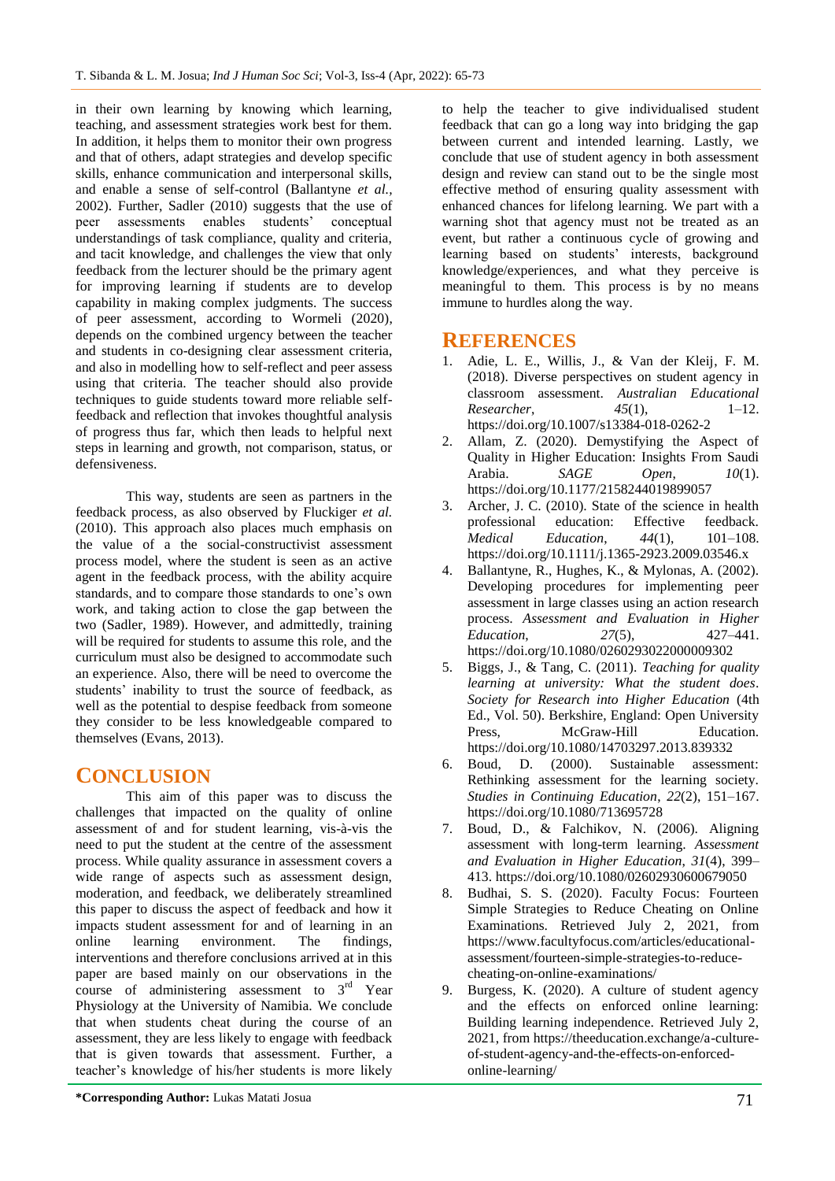in their own learning by knowing which learning, teaching, and assessment strategies work best for them. In addition, it helps them to monitor their own progress and that of others, adapt strategies and develop specific skills, enhance communication and interpersonal skills, and enable a sense of self-control (Ballantyne *et al.,* 2002). Further, Sadler (2010) suggests that the use of peer assessments enables students" conceptual understandings of task compliance, quality and criteria, and tacit knowledge, and challenges the view that only feedback from the lecturer should be the primary agent for improving learning if students are to develop capability in making complex judgments. The success of peer assessment, according to Wormeli (2020), depends on the combined urgency between the teacher and students in co-designing clear assessment criteria, and also in modelling how to self-reflect and peer assess using that criteria. The teacher should also provide techniques to guide students toward more reliable selffeedback and reflection that invokes thoughtful analysis of progress thus far, which then leads to helpful next steps in learning and growth, not comparison, status, or defensiveness.

This way, students are seen as partners in the feedback process, as also observed by Fluckiger *et al.* (2010). This approach also places much emphasis on the value of a the social-constructivist assessment process model, where the student is seen as an active agent in the feedback process, with the ability acquire standards, and to compare those standards to one"s own work, and taking action to close the gap between the two (Sadler, 1989). However, and admittedly, training will be required for students to assume this role, and the curriculum must also be designed to accommodate such an experience. Also, there will be need to overcome the students' inability to trust the source of feedback, as well as the potential to despise feedback from someone they consider to be less knowledgeable compared to themselves (Evans, 2013).

# **CONCLUSION**

This aim of this paper was to discuss the challenges that impacted on the quality of online assessment of and for student learning, vis-à-vis the need to put the student at the centre of the assessment process. While quality assurance in assessment covers a wide range of aspects such as assessment design, moderation, and feedback, we deliberately streamlined this paper to discuss the aspect of feedback and how it impacts student assessment for and of learning in an online learning environment. The findings, interventions and therefore conclusions arrived at in this paper are based mainly on our observations in the course of administering assessment to  $3<sup>rd</sup>$  Year Physiology at the University of Namibia. We conclude that when students cheat during the course of an assessment, they are less likely to engage with feedback that is given towards that assessment. Further, a teacher"s knowledge of his/her students is more likely

to help the teacher to give individualised student feedback that can go a long way into bridging the gap between current and intended learning. Lastly, we conclude that use of student agency in both assessment design and review can stand out to be the single most effective method of ensuring quality assessment with enhanced chances for lifelong learning. We part with a warning shot that agency must not be treated as an event, but rather a continuous cycle of growing and learning based on students' interests, background knowledge/experiences, and what they perceive is meaningful to them. This process is by no means immune to hurdles along the way.

### **REFERENCES**

- 1. Adie, L. E., Willis, J., & Van der Kleij, F. M. (2018). Diverse perspectives on student agency in classroom assessment. *Australian Educational Researcher*, *45*(1), 1–12. https://doi.org/10.1007/s13384-018-0262-2
- 2. Allam, Z. (2020). Demystifying the Aspect of Quality in Higher Education: Insights From Saudi Arabia. *SAGE Open*, *10*(1). https://doi.org/10.1177/2158244019899057
- 3. Archer, J. C. (2010). State of the science in health professional education: Effective feedback. *Medical Education*, *44*(1), 101–108. https://doi.org/10.1111/j.1365-2923.2009.03546.x
- 4. Ballantyne, R., Hughes, K., & Mylonas, A. (2002). Developing procedures for implementing peer assessment in large classes using an action research process. *Assessment and Evaluation in Higher Education*, *27*(5), 427–441. https://doi.org/10.1080/0260293022000009302
- 5. Biggs, J., & Tang, C. (2011). *Teaching for quality learning at university: What the student does*. *Society for Research into Higher Education* (4th Ed., Vol. 50). Berkshire, England: Open University Press, McGraw-Hill Education. https://doi.org/10.1080/14703297.2013.839332
- 6. Boud, D. (2000). Sustainable assessment: Rethinking assessment for the learning society. *Studies in Continuing Education*, *22*(2), 151–167. https://doi.org/10.1080/713695728
- 7. Boud, D., & Falchikov, N. (2006). Aligning assessment with long-term learning. *Assessment and Evaluation in Higher Education*, *31*(4), 399– 413. https://doi.org/10.1080/02602930600679050
- Budhai, S. S. (2020). Faculty Focus: Fourteen Simple Strategies to Reduce Cheating on Online Examinations. Retrieved July 2, 2021, from https://www.facultyfocus.com/articles/educationalassessment/fourteen-simple-strategies-to-reducecheating-on-online-examinations/
- 9. Burgess, K. (2020). A culture of student agency and the effects on enforced online learning: Building learning independence. Retrieved July 2, 2021, from https://theeducation.exchange/a-cultureof-student-agency-and-the-effects-on-enforcedonline-learning/

**<sup>\*</sup>Corresponding Author:** Lukas Matati Josua 71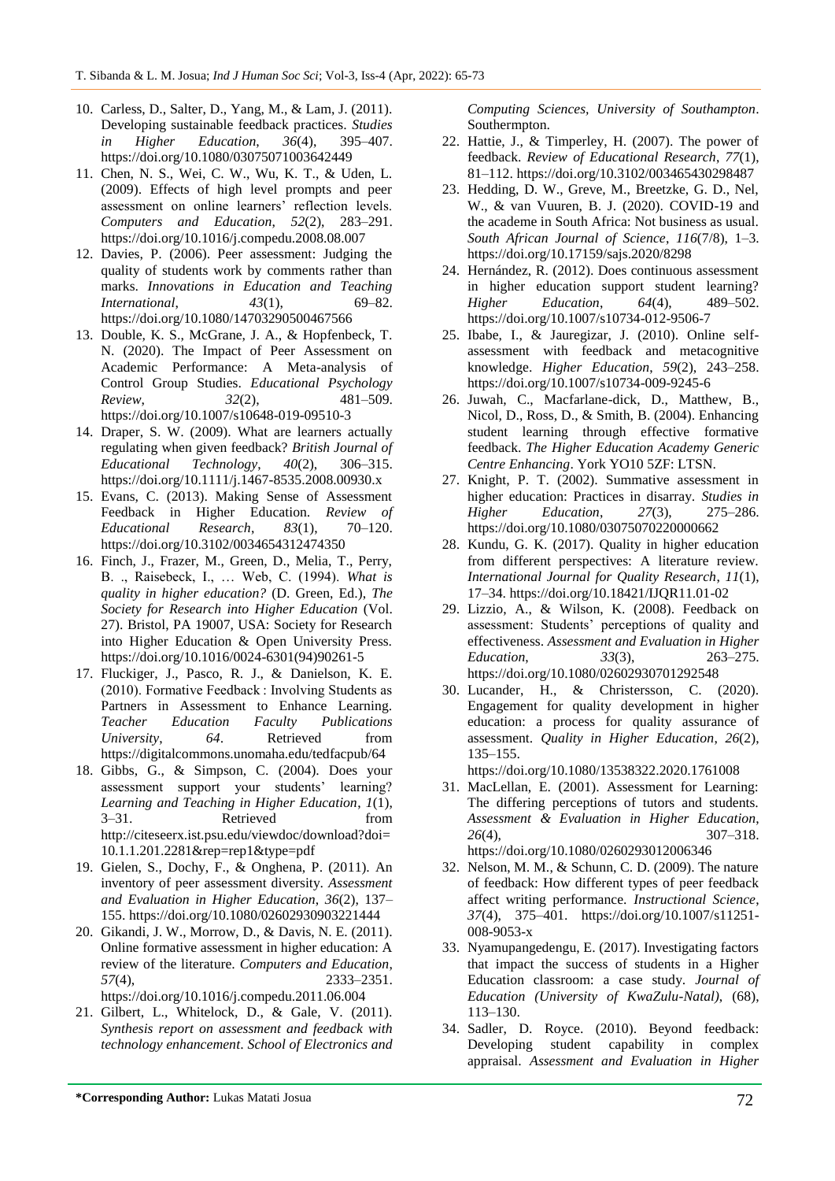- 10. Carless, D., Salter, D., Yang, M., & Lam, J. (2011). Developing sustainable feedback practices. *Studies in Higher Education*, *36*(4), 395–407. https://doi.org/10.1080/03075071003642449
- 11. Chen, N. S., Wei, C. W., Wu, K. T., & Uden, L. (2009). Effects of high level prompts and peer assessment on online learners' reflection levels. *Computers and Education*, *52*(2), 283–291. https://doi.org/10.1016/j.compedu.2008.08.007
- 12. Davies, P. (2006). Peer assessment: Judging the quality of students work by comments rather than marks. *Innovations in Education and Teaching International*, *43*(1), 69–82. https://doi.org/10.1080/14703290500467566
- 13. Double, K. S., McGrane, J. A., & Hopfenbeck, T. N. (2020). The Impact of Peer Assessment on Academic Performance: A Meta-analysis of Control Group Studies. *Educational Psychology Review*, *32*(2), 481–509. https://doi.org/10.1007/s10648-019-09510-3
- 14. Draper, S. W. (2009). What are learners actually regulating when given feedback? *British Journal of Educational Technology*, *40*(2), 306–315. https://doi.org/10.1111/j.1467-8535.2008.00930.x
- 15. Evans, C. (2013). Making Sense of Assessment Feedback in Higher Education. *Review of Educational Research*, *83*(1), 70–120. https://doi.org/10.3102/0034654312474350
- 16. Finch, J., Frazer, M., Green, D., Melia, T., Perry, B. ., Raisebeck, I., … Web, C. (1994). *What is quality in higher education?* (D. Green, Ed.), *The Society for Research into Higher Education* (Vol. 27). Bristol, PA 19007, USA: Society for Research into Higher Education & Open University Press. https://doi.org/10.1016/0024-6301(94)90261-5
- 17. Fluckiger, J., Pasco, R. J., & Danielson, K. E. (2010). Formative Feedback : Involving Students as Partners in Assessment to Enhance Learning. *Teacher Education Faculty Publications University*, *64*. Retrieved from https://digitalcommons.unomaha.edu/tedfacpub/64
- 18. Gibbs, G., & Simpson, C. (2004). Does your assessment support your students' learning? *Learning and Teaching in Higher Education*, *1*(1), 3–31. Retrieved from http://citeseerx.ist.psu.edu/viewdoc/download?doi= 10.1.1.201.2281&rep=rep1&type=pdf
- 19. Gielen, S., Dochy, F., & Onghena, P. (2011). An inventory of peer assessment diversity. *Assessment and Evaluation in Higher Education*, *36*(2), 137– 155. https://doi.org/10.1080/02602930903221444
- 20. Gikandi, J. W., Morrow, D., & Davis, N. E. (2011). Online formative assessment in higher education: A review of the literature. *Computers and Education*, *57*(4), 2333–2351. https://doi.org/10.1016/j.compedu.2011.06.004
- 21. Gilbert, L., Whitelock, D., & Gale, V. (2011). *Synthesis report on assessment and feedback with technology enhancement*. *School of Electronics and*

*Computing Sciences, University of Southampton*. Southermpton.

- 22. Hattie, J., & Timperley, H. (2007). The power of feedback. *Review of Educational Research*, *77*(1), 81–112. https://doi.org/10.3102/003465430298487
- 23. Hedding, D. W., Greve, M., Breetzke, G. D., Nel, W., & van Vuuren, B. J. (2020). COVID-19 and the academe in South Africa: Not business as usual. *South African Journal of Science*, *116*(7/8), 1–3. https://doi.org/10.17159/sajs.2020/8298
- 24. Hernández, R. (2012). Does continuous assessment in higher education support student learning? *Higher Education*, *64*(4), 489–502. https://doi.org/10.1007/s10734-012-9506-7
- 25. Ibabe, I., & Jauregizar, J. (2010). Online selfassessment with feedback and metacognitive knowledge. *Higher Education*, *59*(2), 243–258. https://doi.org/10.1007/s10734-009-9245-6
- 26. Juwah, C., Macfarlane-dick, D., Matthew, B., Nicol, D., Ross, D., & Smith, B. (2004). Enhancing student learning through effective formative feedback. *The Higher Education Academy Generic Centre Enhancing*. York YO10 5ZF: LTSN.
- 27. Knight, P. T. (2002). Summative assessment in higher education: Practices in disarray. *Studies in Higher Education*, *27*(3), 275–286. https://doi.org/10.1080/03075070220000662
- 28. Kundu, G. K. (2017). Quality in higher education from different perspectives: A literature review. *International Journal for Quality Research*, *11*(1), 17–34. https://doi.org/10.18421/IJQR11.01-02
- 29. Lizzio, A., & Wilson, K. (2008). Feedback on assessment: Students" perceptions of quality and effectiveness. *Assessment and Evaluation in Higher Education*, *33*(3), 263–275. https://doi.org/10.1080/02602930701292548
- 30. Lucander, H., & Christersson, C. (2020). Engagement for quality development in higher education: a process for quality assurance of assessment. *Quality in Higher Education*, *26*(2), 135–155.

https://doi.org/10.1080/13538322.2020.1761008

- 31. MacLellan, E. (2001). Assessment for Learning: The differing perceptions of tutors and students. *Assessment & Evaluation in Higher Education*, *26*(4), 307–318. https://doi.org/10.1080/0260293012006346
- 32. Nelson, M. M., & Schunn, C. D. (2009). The nature of feedback: How different types of peer feedback affect writing performance. *Instructional Science*, *37*(4), 375–401. https://doi.org/10.1007/s11251- 008-9053-x
- 33. Nyamupangedengu, E. (2017). Investigating factors that impact the success of students in a Higher Education classroom: a case study. *Journal of Education (University of KwaZulu-Natal)*, (68), 113–130.
- 34. Sadler, D. Royce. (2010). Beyond feedback: Developing student capability in complex appraisal. *Assessment and Evaluation in Higher*

**\*Corresponding Author:** Lukas Matati Josua 72